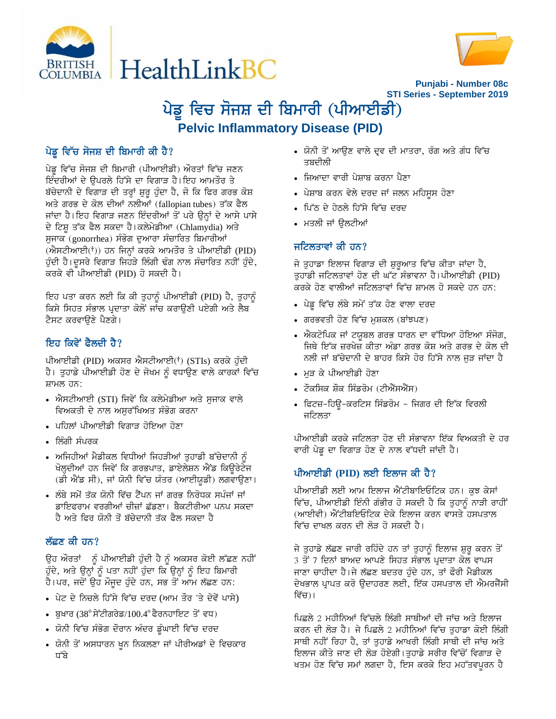



**Punjabi - Number 08c STI Series - September 2019**

# ਪੇਡੂ ਵਿਚ ਸੋਜਸ਼ ਦੀ ਬਿਮਾਰੀ (ਪੀਆਈਡੀ) **Pelvic Inflammatory Disease (PID)**

# ਪੇਡੂ ਵਿੱਚ ਸੋਜਸ਼ ਦੀ ਬਿਮਾਰੀ ਕੀ ਹੈ?

ਪੇਡੂ ਵਿੱਚ ਸੋਜਸ਼ ਦੀ ਬਿਮਾਰੀ (ਪੀਆਈਡੀ) ਔਰਤਾਂ ਵਿੱਚ ਜਣਨ ਇੰਦਰੀਆਂ ਦੇ ਉਪਰਲੇ ਹਿੱਸੇ ਦਾ ਵਿਗਾੜ ਹੈ।ਇਹ ਆਮਤੌਰ ਤੇ ਬੱਚੇਦਾਨੀ ਦੇ ਵਿਗਾੜ ਦੀ ਤਰ੍ਹਾਂ ਸ਼ੁਰੂ ਹੁੰਦਾ ਹੈ, ਜੋ ਕਿ ਫਿਰ ਗਰਭ ਕੋਸ਼ ਅਤੇ ਗਰਭ ਦੇ ਕੋਲ ਦੀਆਂ ਨਲੀਆਂ (fallopian tubes) ਤੱਕ ਫੈਲ ਜਾਂਦਾ ਹੈ।ਇਹ ਵਿਗਾੜ ਜਣਨ ਇੰਦਰੀਆਂ ਤੋਂ ਪਰੇ ਉਨ੍ਹਾਂ ਦੇ ਆਸੇ ਪਾਸੇ ਦੇ ਟਿਸ਼ੂ ਤੱਕ ਫੈਲ ਸਕਦਾ ਹੈ।ਕਲੇਮੇਡੀਆ (Chlamydia) ਅਤੇ ਸੁਜਾਕ (gonorrhea) ਸੰਭੋਗ ਦੁਆਰਾ ਸੰਚਾਰਿਤ ਬਿਮਾਰੀਆਂ (ਐਸਟੀਆਈ(ਾਂ)) ਹਨ ਜਿਨ੍ਹਾਂ ਕਰਕੇ ਆਮਤੌਰ ਤੇ ਪੀਆਈਡੀ (PID) ਹੁੰਦੀ ਹੈ।ਦੂਸਰੇ ਵਿਗਾੜ ਜਿਹੜੇ ਲਿੰਗੀ ਢੰਗ ਨਾਲ ਸੰਚਾਰਿਤ ਨਹੀਂ ਹੁੰਦੇ, ਕਰਕੇ ਵੀ ਪੀਆਈਡੀ (PID) ਹੋ ਸਕਦੀ ਹੈ।

ਇਹ ਪਤਾ ਕਰਨ ਲਈ ਕਿ ਕੀ ਤੁਹਾਨੂੰ ਪੀਆਈਡੀ (PID) ਹੈ, ਤੁਹਾਨੂੰ ਕਿਸੇ ਸਿਹਤ ਸੰਭਾਲ ਪ੍ਰਦਾਤਾ ਕੋਲੋਂ ਜਾਂਚ ਕਰਾਉਣੀ ਪਏਗੀ ਅਤੇ ਲੈਬ ਟੈਸਟ ਕਰਵਾੳਣੇ ਪੈਣਗੇ।

## ਇਹ ਕਿਵੇਂ ਫੈਲਦੀ ਹੈ?

ਪੀਆਈਡੀ (PID) ਅਕਸਰ ਐਸਟੀਆਈ(ਾਂ) (STIs) ਕਰਕੇ ਹੁੰਦੀ ਹੈ। ਤੁਹਾਡੇ ਪੀਆਈਡੀ ਹੋਣ ਦੇ ਜੋਖਮ ਨੂੰ ਵਧਾਉਣ ਵਾਲੇ ਕਾਰਕਾਂ ਵਿੱਚ  $H<sub>TH</sub>$ ਲ ਹਨ:

- ਐਸਟੀਆਈ (STI) ਜਿਵੇਂ ਕਿ ਕਲੇਮੇਡੀਆ ਅਤੇ ਸੁਜਾਕ ਵਾਲੇ ਵਿਅਕਤੀ ਦੇ ਨਾਲ ਅਸਰੱਖਿਅਤ ਸੰਭੋਗ ਕਰਨਾ
- $\bullet$  ਪਹਿਲਾਂ ਪੀਆਈਡੀ ਵਿਗਾੜ ਹੋਇਆ ਹੋਣਾ
- $\cdot$  ਲਿੰਗੀ ਸੰਪਰਕ
- $\bullet$  ਅਜਿਹੀਆਂ ਮੈਡੀਕਲ ਵਿਧੀਆਂ ਜਿਹੜੀਆਂ ਤੁਹਾਡੀ ਬੱਚੇਦਾਨੀ ਨੂੰ ਖੋਲ੍ਹਦੀਆਂ ਹਨ ਜਿਵੇਂ ਕਿ ਗਰਭਪਾਤ, ਡਾਏਲੇਸ਼ਨ ਐਂਡ ਕਿਉਰੇਟੇਜ (ਡੀ ਐਂਡ ਸੀ), ਜਾਂ ਯੋਨੀ ਵਿੱਚ ਯੰਤਰ (ਆਈਯੂਡੀ) ਲਗਵਾਉਣਾ।
- ਲੰਬੇ ਸਮੇਂ ਤੱਕ ਯੋਨੀ ਵਿੱਚ ਟੈਂਪਨ ਜਾਂ ਗਰਭ ਨਿਰੋਧਕ ਸਪੰਜਾਂ ਜਾਂ ਡਾਇਫਰਾਮ ਵਰਗੀਆਂ ਚੀਜ਼ਾਂ ਛੱਡਣਾ। ਬੈਕਟੀਰੀਆ ਪਨਪ ਸਕਦਾ ਹੈ ਅਤੇ ਫਿਰ ਯੋਨੀ ਤੋਂ ਬੱਚੇਦਾਨੀ ਤੱਕ ਫੈਲ ਸਕਦਾ ਹੈ

## ਲੱਛਣ ਕੀ ਹਨ?

ਉਹ ਔਰਤਾਂ ਨੂੰ ਪੀਆਈਡੀ ਹੁੰਦੀ ਹੈ ਨੂੰ ਅਕਸਰ ਕੋਈ ਲੱਛਣ ਨਹੀਂ ਹੁੰਦੇ, ਅਤੇ ਉਨ੍ਹਾਂ ਨੂੰ ਪਤਾ ਨਹੀਂ ਹੁੰਦਾ ਕਿ ਉਨ੍ਹਾਂ ਨੂੰ ਇਹ ਬਿਮਾਰੀ ਹੈ।ਪਰ, ਜਦੋਂ ਉਹ ਮੌਜੂਦ ਹੁੰਦੇ ਹਨ, ਸਭ ਤੋਂ ਆਮ ਲੱਛਣ ਹਨ:

- ਪੇਟ ਦੇ ਨਿਚਲੇ ਹਿੱਸੇ ਵਿੱਚ ਦਰਦ (ਆਮ ਤੌਰ 'ਤੇ ਦੋਵੇਂ ਪਾਸੇ)
- $\bullet$  ਬੁਖਾਰ (38º ਸੇਂਟੀਗਰੇਡ/100.4º ਫੈਰਨਹਾਇਟ ਤੋਂ ਵਧ)
- ਯੋਨੀ ਵਿੱਚ ਸੰਭੋਗ ਦੌਰਾਨ ਅੰਦਰ ਡੂੰਘਾਈ ਵਿੱਚ ਦਰਦ
- ਯੋਨੀ ਤੋਂ ਅਸਧਾਰਨ ਖੁਨ ਨਿਕਲਣਾ ਜਾਂ ਪੀਰੀਅਡਾਂ ਦੇ ਵਿਚਕਾਰ ਧੱਬੇ
- ਯੋਨੀ ਤੋਂ ਆਉਣ ਵਾਲੇ ਦਵ ਦੀ ਮਾਤਰਾ, ਰੰਗ ਅਤੇ ਗੰਧ ਵਿੱਚ ਤਬਦੀਲੀ
- ਜਿਆਦਾ ਵਾਰੀ ਪੇਸ਼ਾਬ ਕਰਨਾ ਪੈਣਾ
- ∙ ਪੇਸ਼ਾਬ ਕਰਨ ਵੇਲੇ ਦਰਦ ਜਾਂ ਜਲਨ ਮਹਿਸੂਸ ਹੋਣਾ
- ਪਿੱਠ ਦੇ ਹੇਠਲੇ ਹਿੱਸੇ ਵਿੱਚ ਦਰਦ
- ਮਤਲੀ ਜਾਂ ਉਲਟੀਆਂ

## ਜਟਿਲਤਾਵਾਂ ਕੀ ਹਨ?

ਜੇ ਤੁਹਾਡਾ ਇਲਾਜ ਵਿਗਾੜ ਦੀ ਸ਼ੁਰੂਆਤ ਵਿੱਚ ਕੀਤਾ ਜਾਂਦਾ ਹੈ, ਤੁਹਾਡੀ ਜਟਿਲਤਾਵਾਂ ਹੋਣ ਦੀ ਘੱਟ ਸੰਭਾਵਨਾ ਹੈ।ਪੀਆਈਡੀ (PID) ਕਰਕੇ ਹੋਣ ਵਾਲੀਆਂ ਜਟਿਲਤਾਵਾਂ ਵਿੱਚ ਸ਼ਾਮਲ ਹੋ ਸਕਦੇ ਹਨ ਹਨ:

- ∙ ਪੇਡੂ ਵਿੱਚ ਲੰਬੇ ਸਮੇਂ ਤੱਕ ਹੋਣ ਵਾਲਾ ਦਰਦ
- ਗਰਭਵਤੀ ਹੋਣ ਵਿੱਚ ਮੁਸ਼ਕਲ (ਬਾਂਝਪਣ)
- ਐਕਟੋਪਿਕ ਜਾਂ ਟਯੂਬਲ ਗਰਭ ਧਾਰਨ ਦਾ ਵੱਧਿਆ ਹੋਇਆ ਸੰਜੋਗ, ਜਿਥੇ ਇੱਕ ਜ਼ਰਖੇਜ਼ ਕੀਤਾ ਅੰਡਾ ਗਰਭ ਕੋਸ਼ ਅਤੇ ਗਰਭ ਦੇ ਕੋਲ ਦੀ ਨਲੀ ਜਾਂ ਬੱਚੇਦਾਨੀ ਦੇ ਬਾਹਰ ਕਿਸੇ ਹੋਰ ਹਿੱਸੇ ਨਾਲ ਜੁੜ ਜਾਂਦਾ ਹੈ
- ਮੜ ਕੇ ਪੀਆਈਡੀ ਹੋਣਾ
- ਟੌਕਸਿਕ ਸ਼ੌਕ ਸਿੰਡਰੋਮ (ਟੀਐੱਸਐੱਸ)
- ∙ ਫਿਟਜ਼-ਹਿਊ-ਕਰਟਿਸ ਸਿੰਡਰੋਮ ਜਿਗਰ ਦੀ ਇੱਕ ਵਿਰਲੀ ਜਟਿਲਤਾ

ਪੀਆਈਡੀ ਕਰਕੇ ਜਟਿਲਤਾ ਹੋਣ ਦੀ ਸੰਭਾਵਨਾ ਇੱਕ ਵਿਅਕਤੀ ਦੇ ਹਰ ਵਾਰੀ ਪੇਡ ਦਾ ਵਿਗਾੜ ਹੋਣ ਦੇ ਨਾਲ ਵੱਧਦੀ ਜਾਂਦੀ ਹੈ।

# ਪੀਆਈਡੀ (PID) ਲਈ ਇਲਾਜ ਕੀ ਹੈ?

ਪੀਆਈਡੀ ਲਈ ਆਮ ਇਲਾਜ ਐਂਟੀਬਾਇਓਟਿਕ ਹਨ। ਕੁਝ ਕੇਸਾਂ ਵਿੱਚ, ਪੀਆਈਡੀ ਇੰਨੀ ਗੰਭੀਰ ਹੋ ਸਕਦੀ ਹੈ ਕਿ ਤੁਹਾਨੂੰ ਨਾੜੀ ਰਾਹੀਂ (ਆਈਵੀ) ਐਂਟੀਬਇਓਟਿਕ ਦੇਕੇ ਇਲਾਜ ਕਰਨ ਵਾਸਤੇ ਹਸਪਤਾਲ ਵਿੱਚ ਦਾਖਲ ਕਰਨ ਦੀ ਲੋੜ ਹੋ ਸਕਦੀ ਹੈ।

ਜੇ ਤੁਹਾਡੇ ਲੱਛਣ ਜਾਰੀ ਰਹਿੰਦੇ ਹਨ ਤਾਂ ਤੁਹਾਨੂੰ ਇਲਾਜ ਸ਼ੁਰੂ ਕਰਨ ਤੋਂ <u>3 ਤੋਂ 7 ਦਿਨਾਂ ਬਾਅਦ ਆਪਣੇ ਸਿਹਤ ਸੰਭਾਲ ਪੁਦਾਤਾ ਕੋਲ ਵਾਪਸ</u> ਜਾਣਾ ਚਾਹੀਦਾ ਹੈ।ਜੇ ਲੱਛਣ ਬਦਤਰ ਹੁੰਦੇ ਹਨ, ਤਾਂ ਫੌਰੀ ਮੈਡੀਕਲ ਦੇਖਭਾਲ ਪ੍ਰਾਪਤ ਕਰੋ ਉਦਾਹਰਣ ਲਈ, ਇੱਕ ਹਸਪਤਾਲ ਦੀ ਐਮਰਜੈਂਸੀ ਵਿੱਚ)।

ਪਿਛਲੇ 2 ਮਹੀਨਿਆਂ ਵਿੱਚਲੇ ਲਿੰਗੀ ਸਾਥੀਆਂ ਦੀ ਜਾਂਚ ਅਤੇ ਇਲਾਜ ਕਰਨ ਦੀ ਲੋੜ ਹੈ। ਜੇ ਪਿਛਲੇ 2 ਮਹੀਨਿਆਂ ਵਿੱਚ ਤਹਾਡਾ ਕੋਈ ਲਿੰਗੀ ਸਾਥੀ ਨਹੀਂ ਰਿਹਾ ਹੈ, ਤਾਂ ਤੁਹਾਡੇ ਆਖਰੀ ਲਿੰਗੀ ਸਾਥੀ ਦੀ ਜਾਂਚ ਅਤੇ ਇਲਾਜ ਕੀਤੇ ਜਾਣ ਦੀ ਲੋੜ ਹੋਏਗੀ।ਤੁਹਾਡੇ ਸਰੀਰ ਵਿੱਚੋਂ ਵਿਗਾੜ ਦੇ ਖਤਮ ਹੋਣ ਵਿੱਚ ਸਮਾਂ ਲਗਦਾ ਹੈ, ਇਸ ਕਰਕੇ ਇਹ ਮਹੱਤਵਪੂਰਨ ਹੈ